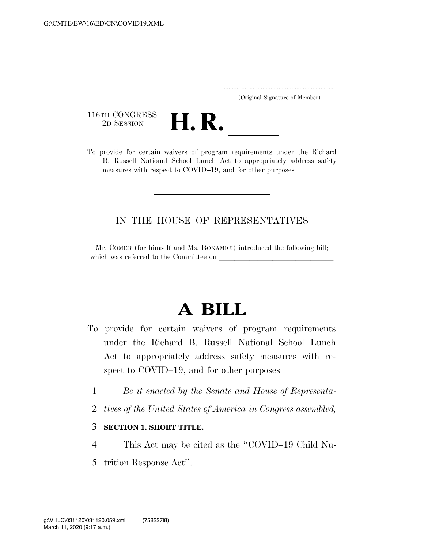..................................................................... (Original Signature of Member)

116TH CONGRESS<br>2D SESSION



116TH CONGRESS<br>
2D SESSION<br>
To provide for certain waivers of program requirements under the Richard B. Russell National School Lunch Act to appropriately address safety measures with respect to COVID–19, and for other purposes

## IN THE HOUSE OF REPRESENTATIVES

Mr. COMER (for himself and Ms. BONAMICI) introduced the following bill; which was referred to the Committee on

## **A BILL**

- To provide for certain waivers of program requirements under the Richard B. Russell National School Lunch Act to appropriately address safety measures with respect to COVID–19, and for other purposes
	- 1 *Be it enacted by the Senate and House of Representa-*
	- 2 *tives of the United States of America in Congress assembled,*

## 3 **SECTION 1. SHORT TITLE.**

- 4 This Act may be cited as the ''COVID–19 Child Nu-
- 5 trition Response Act''.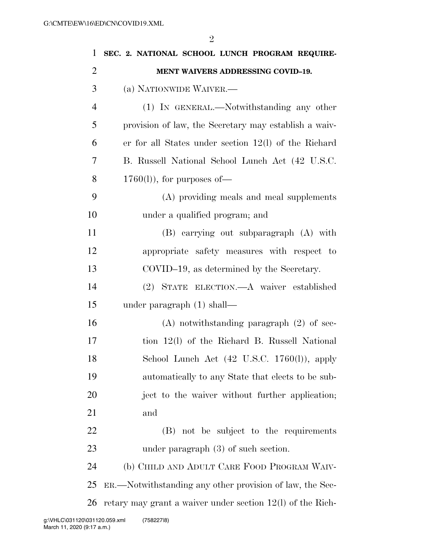| $\mathbf{1}$   | SEC. 2. NATIONAL SCHOOL LUNCH PROGRAM REQUIRE-               |
|----------------|--------------------------------------------------------------|
| $\overline{2}$ | MENT WAIVERS ADDRESSING COVID-19.                            |
| 3              | (a) NATIONWIDE WAIVER.—                                      |
| $\overline{4}$ | (1) IN GENERAL.—Notwithstanding any other                    |
| 5              | provision of law, the Secretary may establish a waiv-        |
| 6              | er for all States under section $12(1)$ of the Richard       |
| 7              | B. Russell National School Lunch Act (42 U.S.C.              |
| 8              | $1760(l)$ , for purposes of-                                 |
| 9              | (A) providing meals and meal supplements                     |
| 10             | under a qualified program; and                               |
| 11             | (B) carrying out subparagraph (A) with                       |
| 12             | appropriate safety measures with respect to                  |
| 13             | COVID-19, as determined by the Secretary.                    |
| 14             | (2) STATE ELECTION.—A waiver established                     |
| 15             | under paragraph $(1)$ shall—                                 |
| 16             | $(A)$ notwithstanding paragraph $(2)$ of sec-                |
| 17             | tion 12(l) of the Richard B. Russell National                |
| 18             | School Lunch Act $(42 \text{ U.S.C. } 1760(l))$ , apply      |
| 19             | automatically to any State that elects to be sub-            |
| 20             | ject to the waiver without further application;              |
| 21             | and                                                          |
| 22             | (B) not be subject to the requirements                       |
| 23             | under paragraph $(3)$ of such section.                       |
| 24             | (b) CHILD AND ADULT CARE FOOD PROGRAM WAIV-                  |
| 25             | ER.—Notwithstanding any other provision of law, the Sec-     |
| 26             | retary may grant a waiver under section $12(1)$ of the Rich- |
|                |                                                              |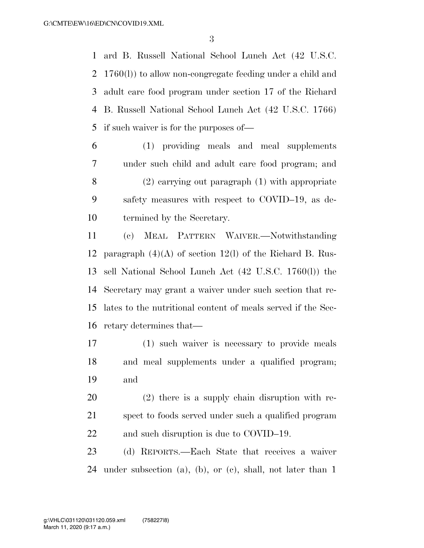ard B. Russell National School Lunch Act (42 U.S.C. 1760(l)) to allow non-congregate feeding under a child and adult care food program under section 17 of the Richard B. Russell National School Lunch Act (42 U.S.C. 1766) if such waiver is for the purposes of—

 (1) providing meals and meal supplements under such child and adult care food program; and (2) carrying out paragraph (1) with appropriate safety measures with respect to COVID–19, as de-termined by the Secretary.

 (c) MEAL PATTERN WAIVER.—Notwithstanding paragraph (4)(A) of section 12(l) of the Richard B. Rus- sell National School Lunch Act (42 U.S.C. 1760(l)) the Secretary may grant a waiver under such section that re- lates to the nutritional content of meals served if the Sec-retary determines that—

 (1) such waiver is necessary to provide meals and meal supplements under a qualified program; and

 (2) there is a supply chain disruption with re- spect to foods served under such a qualified program 22 and such disruption is due to COVID–19.

 (d) REPORTS.—Each State that receives a waiver under subsection (a), (b), or (c), shall, not later than 1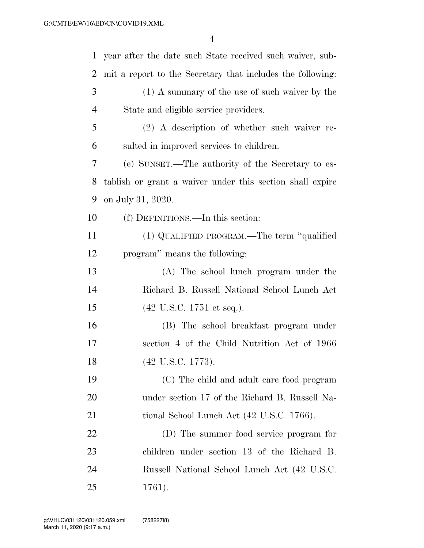| $\mathbf{1}$   | year after the date such State received such waiver, sub-  |
|----------------|------------------------------------------------------------|
| $\overline{2}$ | mit a report to the Secretary that includes the following: |
| 3              | (1) A summary of the use of such waiver by the             |
| $\overline{4}$ | State and eligible service providers.                      |
| 5              | $(2)$ A description of whether such waiver re-             |
| 6              | sulted in improved services to children.                   |
| $\overline{7}$ | (e) SUNSET.—The authority of the Secretary to es-          |
| 8              | tablish or grant a waiver under this section shall expire  |
| 9              | on July 31, 2020.                                          |
| 10             | (f) DEFINITIONS.—In this section:                          |
| 11             | (1) QUALIFIED PROGRAM.—The term "qualified                 |
| 12             | program" means the following:                              |
| 13             | (A) The school lunch program under the                     |
| 14             | Richard B. Russell National School Lunch Act               |
| 15             | $(42 \text{ U.S.C. } 1751 \text{ et seq.}).$               |
| 16             | (B) The school breakfast program under                     |
| 17             | section 4 of the Child Nutrition Act of 1966               |
| 18             | $(42 \text{ U.S.C. } 1773).$                               |
| 19             | (C) The child and adult care food program                  |
| 20             | under section 17 of the Richard B. Russell Na-             |
| 21             | tional School Lunch Act (42 U.S.C. 1766).                  |
| 22             | (D) The summer food service program for                    |
| 23             | children under section 13 of the Richard B.                |
| 24             | Russell National School Lunch Act (42 U.S.C.               |
| 25             | 1761).                                                     |